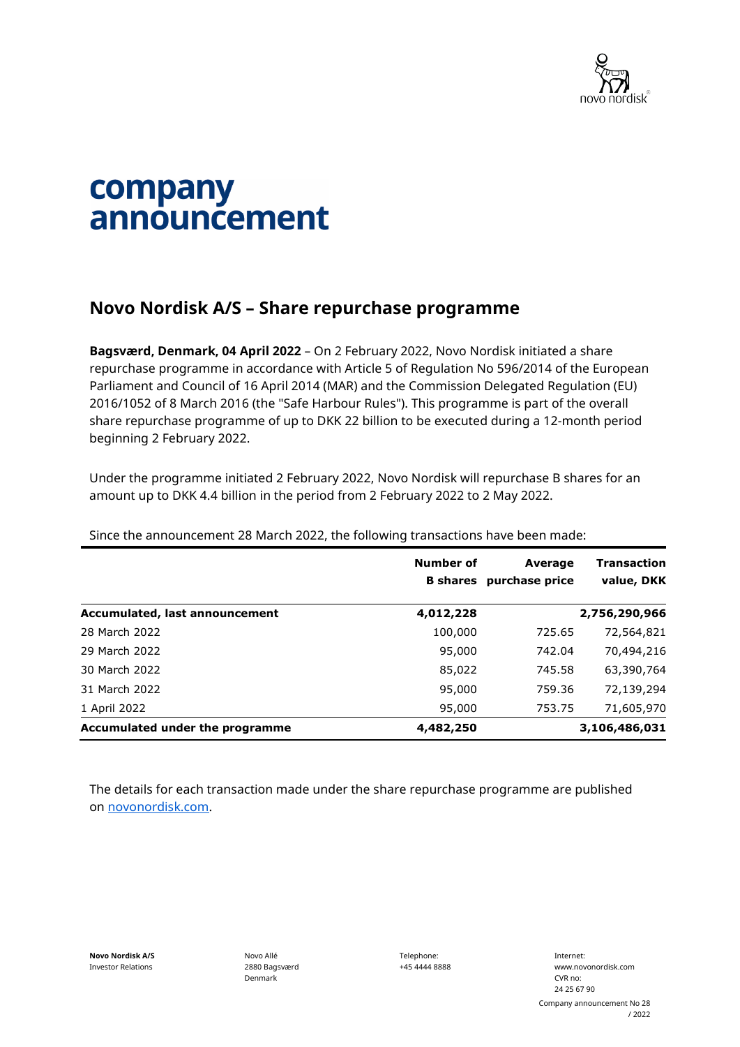

## company announcement

## **Novo Nordisk A/S – Share repurchase programme**

**Bagsværd, Denmark, 04 April 2022** – On 2 February 2022, Novo Nordisk initiated a share repurchase programme in accordance with Article 5 of Regulation No 596/2014 of the European Parliament and Council of 16 April 2014 (MAR) and the Commission Delegated Regulation (EU) 2016/1052 of 8 March 2016 (the "Safe Harbour Rules"). This programme is part of the overall share repurchase programme of up to DKK 22 billion to be executed during a 12-month period beginning 2 February 2022.

Under the programme initiated 2 February 2022, Novo Nordisk will repurchase B shares for an amount up to DKK 4.4 billion in the period from 2 February 2022 to 2 May 2022.

|                                 | Number of<br><b>B</b> shares | Average<br>purchase price | <b>Transaction</b><br>value, DKK |
|---------------------------------|------------------------------|---------------------------|----------------------------------|
| Accumulated, last announcement  | 4,012,228                    |                           | 2,756,290,966                    |
| 28 March 2022                   | 100,000                      | 725.65                    | 72,564,821                       |
| 29 March 2022                   | 95,000                       | 742.04                    | 70,494,216                       |
| 30 March 2022                   | 85,022                       | 745.58                    | 63,390,764                       |
| 31 March 2022                   | 95,000                       | 759.36                    | 72,139,294                       |
| 1 April 2022                    | 95,000                       | 753.75                    | 71,605,970                       |
| Accumulated under the programme | 4,482,250                    |                           | 3,106,486,031                    |

Since the announcement 28 March 2022, the following transactions have been made:

The details for each transaction made under the share repurchase programme are published on [novonordisk.com.](https://www.novonordisk.com/news-and-media/news-and-ir-materials.html)

Novo Allé 2880 Bagsværd Denmark

Telephone: +45 4444 8888